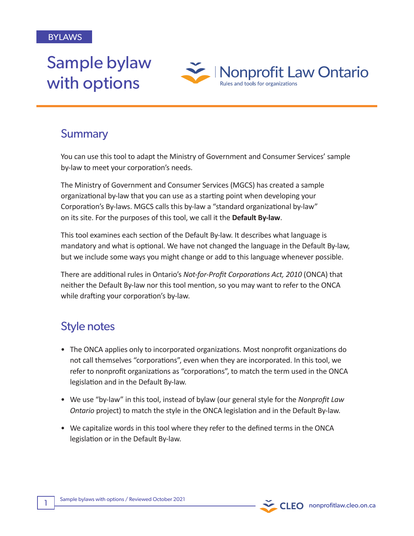# Sample bylaw with options



# **Summary**

You can use this tool to adapt the Ministry of Government and Consumer Services' sample by-law to meet your corporation's needs.

The Ministry of Government and Consumer Services (MGCS) has created a sample organizational by-law that you can use as a starting point when developing your Corporation's By-laws. MGCS calls this by-law a "standard organizational by-law" on its site. For the purposes of this tool, we call it the **Default By-law**.

This tool examines each section of the Default By-law. It describes what language is mandatory and what is optional. We have not changed the language in the Default By-law, but we include some ways you might change or add to this language whenever possible.

There are additional rules in Ontario's *Not-for-Profit Corporations Act, 2010* (ONCA) that neither the Default By-law nor this tool mention, so you may want to refer to the ONCA while drafting your corporation's by-law.

# Style notes

- The ONCA applies only to incorporated organizations. Most nonprofit organizations do not call themselves "corporations", even when they are incorporated. In this tool, we refer to nonprofit organizations as "corporations", to match the term used in the ONCA legislation and in the Default By-law.
- We use "by-law" in this tool, instead of bylaw (our general style for the *Nonprofit Law Ontario* project) to match the style in the ONCA legislation and in the Default By-law.
- We capitalize words in this tool where they refer to the defined terms in the ONCA legislation or in the Default By-law.

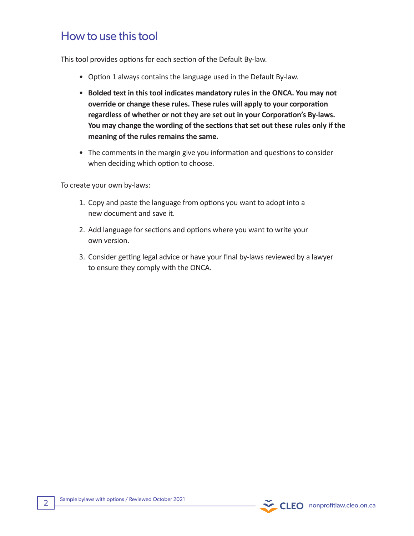# How to use this tool

This tool provides options for each section of the Default By-law.

- Option 1 always contains the language used in the Default By-law.
- **Bolded text in this tool indicates mandatory rules in the ONCA. You may not override or change these rules. These rules will apply to your corporation regardless of whether or not they are set out in your Corporation's By-laws. You may change the wording of the sections that set out these rules only if the meaning of the rules remains the same.**
- The comments in the margin give you information and questions to consider when deciding which option to choose.

To create your own by-laws:

- 1. Copy and paste the language from options you want to adopt into a new document and save it.
- 2. Add language for sections and options where you want to write your own version.
- 3. Consider getting legal advice or have your final by-laws reviewed by a lawyer to ensure they comply with the ONCA.

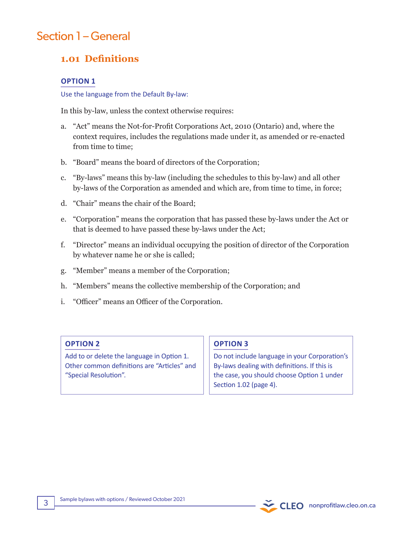# Section 1 – General

# **1.01 Definitions**

### **OPTION 1**

Use the language from the Default By-law:

In this by-law, unless the context otherwise requires:

- a. "Act" means the Not-for-Profit Corporations Act, 2010 (Ontario) and, where the context requires, includes the regulations made under it, as amended or re-enacted from time to time;
- b. "Board" means the board of directors of the Corporation;
- c. "By-laws" means this by-law (including the schedules to this by-law) and all other by-laws of the Corporation as amended and which are, from time to time, in force;
- d. "Chair" means the chair of the Board;
- e. "Corporation" means the corporation that has passed these by-laws under the Act or that is deemed to have passed these by-laws under the Act;
- f. "Director" means an individual occupying the position of director of the Corporation by whatever name he or she is called;
- g. "Member" means a member of the Corporation;
- h. "Members" means the collective membership of the Corporation; and
- i. "Officer" means an Officer of the Corporation.

## **OPTION 2**

Add to or delete the language in Option 1. Other common definitions are "Articles" and "Special Resolution".

## **OPTION 3**

Do not include language in your Corporation's By-laws dealing with definitions. If this is the case, you should choose Option 1 under Section 1.02 (page 4).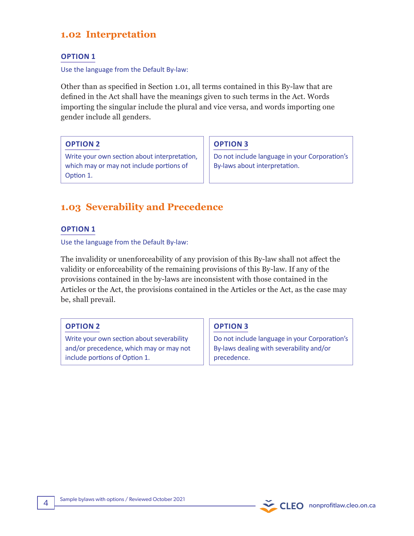# **1.02 Interpretation**

## **OPTION 1**

#### Use the language from the Default By-law:

Other than as specified in Section 1.01, all terms contained in this By-law that are defined in the Act shall have the meanings given to such terms in the Act. Words importing the singular include the plural and vice versa, and words importing one gender include all genders.

**OPTION 2**

Write your own section about interpretation, which may or may not include portions of Option 1.

**OPTION 3**

Do not include language in your Corporation's By-laws about interpretation.

# **1.03 Severability and Precedence**

## **OPTION 1**

Use the language from the Default By-law:

The invalidity or unenforceability of any provision of this By-law shall not affect the validity or enforceability of the remaining provisions of this By-law. If any of the provisions contained in the by-laws are inconsistent with those contained in the Articles or the Act, the provisions contained in the Articles or the Act, as the case may be, shall prevail.

## **OPTION 2**

Write your own section about severability and/or precedence, which may or may not include portions of Option 1.

## **OPTION 3**

Do not include language in your Corporation's By-laws dealing with severability and/or precedence.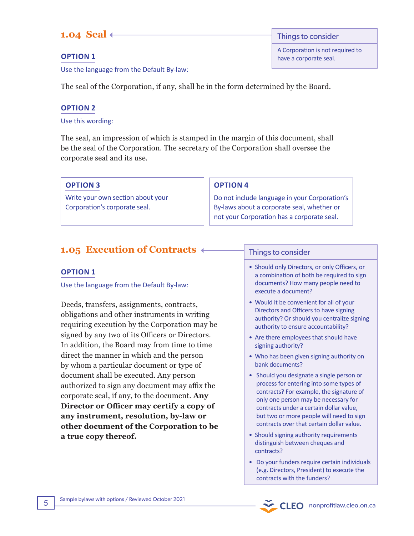# **1.04 Seal**

**OPTION 1** 

Use the language from the Default By-law:

The seal of the Corporation, if any, shall be in the form determined by the Board.

# **OPTION 2**

Use this wording:

The seal, an impression of which is stamped in the margin of this document, shall be the seal of the Corporation. The secretary of the Corporation shall oversee the corporate seal and its use.

**OPTION 3** 

Write your own section about your Corporation's corporate seal.

# **OPTION 4**

Do not include language in your Corporation's By-laws about a corporate seal, whether or not your Corporation has a corporate seal.

# **1.05 Execution of Contracts**

# **OPTION 1**

Use the language from the Default By-law:

Deeds, transfers, assignments, contracts, obligations and other instruments in writing requiring execution by the Corporation may be signed by any two of its Officers or Directors. In addition, the Board may from time to time direct the manner in which and the person by whom a particular document or type of document shall be executed. Any person authorized to sign any document may affix the corporate seal, if any, to the document. **Any Director or Officer may certify a copy of any instrument, resolution, by-law or other document of the Corporation to be a true copy thereof.** 

## Things to consider

- Should only Directors, or only Officers, or a combination of both be required to sign documents? How many people need to execute a document?
- Would it be convenient for all of your Directors and Officers to have signing authority? Or should you centralize signing authority to ensure accountability?
- Are there employees that should have signing authority?
- Who has been given signing authority on bank documents?
- Should you designate a single person or process for entering into some types of contracts? For example, the signature of only one person may be necessary for contracts under a certain dollar value, but two or more people will need to sign contracts over that certain dollar value.
- Should signing authority requirements distinguish between cheques and contracts?
- Do your funders require certain individuals (e.g. Directors, President) to execute the contracts with the funders?

Things to consider A Corporation is not required to

have a corporate seal.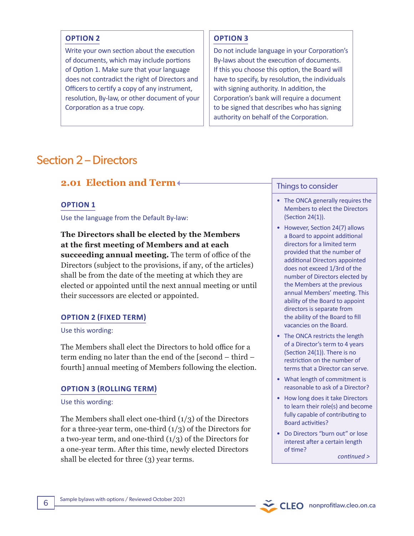#### **OPTION 2**

Write your own section about the execution of documents, which may include portions of Option 1. Make sure that your language does not contradict the right of Directors and Officers to certify a copy of any instrument, resolution, By-law, or other document of your Corporation as a true copy.

#### **OPTION 3**

Do not include language in your Corporation's By-laws about the execution of documents. If this you choose this option, the Board will have to specify, by resolution, the individuals with signing authority. In addition, the Corporation's bank will require a document to be signed that describes who has signing authority on behalf of the Corporation.

# Section 2 – Directors

# **2.01 Election and Term**

#### **OPTION 1**

Use the language from the Default By-law:

**The Directors shall be elected by the Members at the first meeting of Members and at each succeeding annual meeting.** The term of office of the Directors (subject to the provisions, if any, of the articles) shall be from the date of the meeting at which they are elected or appointed until the next annual meeting or until their successors are elected or appointed.

#### **OPTION 2 (FIXED TERM)**

#### Use this wording:

The Members shall elect the Directors to hold office for a term ending no later than the end of the [second – third – fourth] annual meeting of Members following the election.

#### **OPTION 3 (ROLLING TERM)**

#### Use this wording:

The Members shall elect one-third  $(1/3)$  of the Directors for a three-year term, one-third  $(1/3)$  of the Directors for a two-year term, and one-third  $(1/3)$  of the Directors for a one-year term. After this time, newly elected Directors shall be elected for three (3) year terms.

#### Things to consider

- The ONCA generally requires the Members to elect the Directors (Section 24(1)).
- However, Section 24(7) allows a Board to appoint additional directors for a limited term provided that the number of additional Directors appointed does not exceed 1/3rd of the number of Directors elected by the Members at the previous annual Members' meeting. This ability of the Board to appoint directors is separate from the ability of the Board to fill vacancies on the Board.
- The ONCA restricts the length of a Director's term to 4 years (Section 24(1)). There is no restriction on the number of terms that a Director can serve.
- What length of commitment is reasonable to ask of a Director?
- How long does it take Directors to learn their role(s) and become fully capable of contributing to Board activities?
- Do Directors "burn out" or lose interest after a certain length of time?

CLEO nonprofitlaw.cleo.on.ca

*continued >*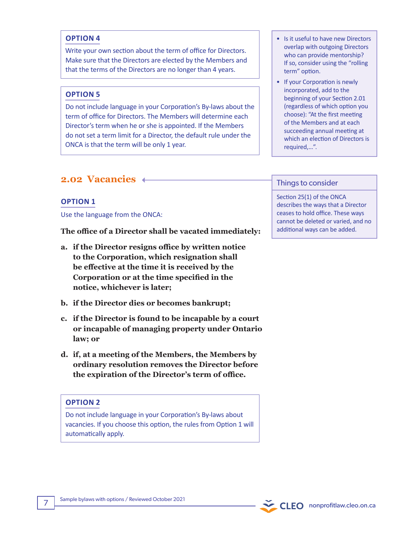### **OPTION 4**

Write your own section about the term of office for Directors. Make sure that the Directors are elected by the Members and that the terms of the Directors are no longer than 4 years.

#### **OPTION 5**

Do not include language in your Corporation's By-laws about the term of office for Directors. The Members will determine each Director's term when he or she is appointed. If the Members do not set a term limit for a Director, the default rule under the ONCA is that the term will be only 1 year.

# **2.02 Vacancies**

#### **OPTION 1**

Use the language from the ONCA:

**The office of a Director shall be vacated immediately:**

- **a. if the Director resigns office by written notice to the Corporation, which resignation shall be effective at the time it is received by the Corporation or at the time specified in the notice, whichever is later;**
- **b. if the Director dies or becomes bankrupt;**
- **c. if the Director is found to be incapable by a court or incapable of managing property under Ontario law; or**
- **d. if, at a meeting of the Members, the Members by ordinary resolution removes the Director before the expiration of the Director's term of office.**

### **OPTION 2**

Do not include language in your Corporation's By-laws about vacancies. If you choose this option, the rules from Option 1 will automatically apply.

- Is it useful to have new Directors overlap with outgoing Directors who can provide mentorship? If so, consider using the "rolling term" option.
- If your Corporation is newly incorporated, add to the beginning of your Section 2.01 (regardless of which option you choose): "At the first meeting of the Members and at each succeeding annual meeting at which an election of Directors is required,…".

#### Things to consider

Section 25(1) of the ONCA describes the ways that a Director ceases to hold office. These ways cannot be deleted or varied, and no additional ways can be added.

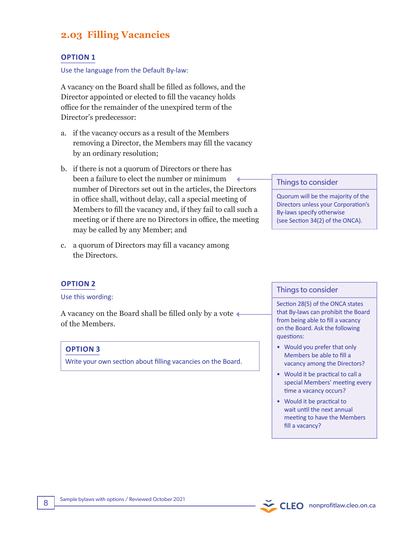# **2.03 Filling Vacancies**

### **OPTION 1**

Use the language from the Default By-law:

A vacancy on the Board shall be filled as follows, and the Director appointed or elected to fill the vacancy holds office for the remainder of the unexpired term of the Director's predecessor:

- a. if the vacancy occurs as a result of the Members removing a Director, the Members may fill the vacancy by an ordinary resolution;
- b. if there is not a quorum of Directors or there has been a failure to elect the number or minimum number of Directors set out in the articles, the Directors in office shall, without delay, call a special meeting of Members to fill the vacancy and, if they fail to call such a meeting or if there are no Directors in office, the meeting may be called by any Member; and
- c. a quorum of Directors may fill a vacancy among the Directors.

#### Things to consider

Quorum will be the majority of the Directors unless your Corporation's By-laws specify otherwise (see Section 34(2) of the ONCA).

#### **OPTION 2**

#### Use this wording:

A vacancy on the Board shall be filled only by a vote of the Members.

#### **OPTION 3**

Write your own section about filling vacancies on the Board.

#### Things to consider

Section 28(5) of the ONCA states that By-laws can prohibit the Board from being able to fill a vacancy on the Board. Ask the following questions:

- Would you prefer that only Members be able to fill a vacancy among the Directors?
- Would it be practical to call a special Members' meeting every time a vacancy occurs?
- Would it be practical to wait until the next annual meeting to have the Members fill a vacancy?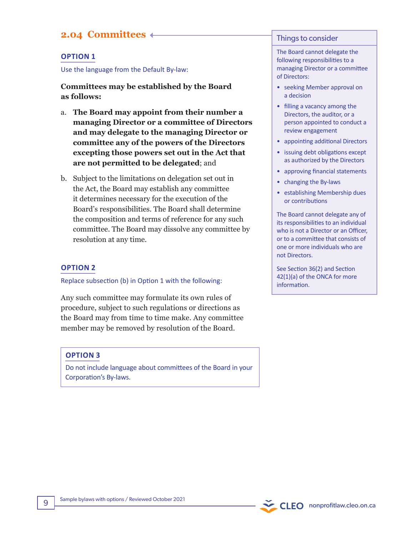# **2.04 Committees**

#### **OPTION 1**

Use the language from the Default By-law:

**Committees may be established by the Board as follows:**

- a. **The Board may appoint from their number a managing Director or a committee of Directors and may delegate to the managing Director or committee any of the powers of the Directors excepting those powers set out in the Act that are not permitted to be delegated**; and
- b. Subject to the limitations on delegation set out in the Act, the Board may establish any committee it determines necessary for the execution of the Board's responsibilities. The Board shall determine the composition and terms of reference for any such committee. The Board may dissolve any committee by resolution at any time.

#### **OPTION 2**

Replace subsection (b) in Option 1 with the following:

Any such committee may formulate its own rules of procedure, subject to such regulations or directions as the Board may from time to time make. Any committee member may be removed by resolution of the Board.

#### **OPTION 3**

Do not include language about committees of the Board in your Corporation's By-laws.

#### Things to consider

The Board cannot delegate the following responsibilities to a managing Director or a committee of Directors:

- seeking Member approval on a decision
- filling a vacancy among the Directors, the auditor, or a person appointed to conduct a review engagement
- appointing additional Directors
- issuing debt obligations except as authorized by the Directors
- approving financial statements
- changing the By-laws
- establishing Membership dues or contributions

The Board cannot delegate any of its responsibilities to an individual who is not a Director or an Officer, or to a committee that consists of one or more individuals who are not Directors.

See Section 36(2) and Section 42(1)(a) of the ONCA for more information.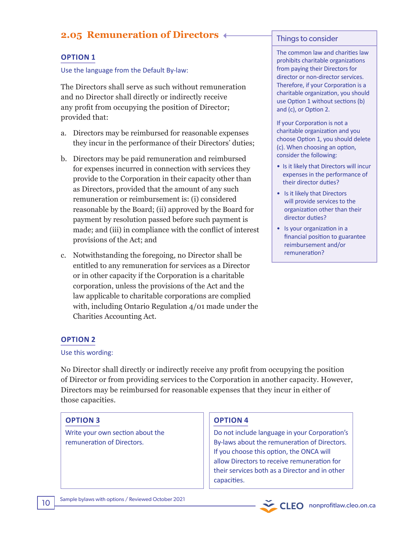# **2.05 Remuneration of Directors**

## **OPTION 1**

#### Use the language from the Default By-law:

The Directors shall serve as such without remuneration and no Director shall directly or indirectly receive any profit from occupying the position of Director; provided that:

- a. Directors may be reimbursed for reasonable expenses they incur in the performance of their Directors' duties;
- b. Directors may be paid remuneration and reimbursed for expenses incurred in connection with services they provide to the Corporation in their capacity other than as Directors, provided that the amount of any such remuneration or reimbursement is: (i) considered reasonable by the Board; (ii) approved by the Board for payment by resolution passed before such payment is made; and (iii) in compliance with the conflict of interest provisions of the Act; and
- c. Notwithstanding the foregoing, no Director shall be entitled to any remuneration for services as a Director or in other capacity if the Corporation is a charitable corporation, unless the provisions of the Act and the law applicable to charitable corporations are complied with, including Ontario Regulation 4/01 made under the Charities Accounting Act.

#### Things to consider

The common law and charities law prohibits charitable organizations from paying their Directors for director or non-director services. Therefore, if your Corporation is a charitable organization, you should use Option 1 without sections (b) and (c), or Option 2.

If your Corporation is not a charitable organization and you choose Option 1, you should delete (c). When choosing an option, consider the following:

- Is it likely that Directors will incur expenses in the performance of their director duties?
- Is it likely that Directors will provide services to the organization other than their director duties?
- Is your organization in a financial position to guarantee reimbursement and/or remuneration?

## **OPTION 2**

#### Use this wording:

No Director shall directly or indirectly receive any profit from occupying the position of Director or from providing services to the Corporation in another capacity. However, Directors may be reimbursed for reasonable expenses that they incur in either of those capacities.

## **OPTION 3**

Write your own section about the remuneration of Directors.

## **OPTION 4**

Do not include language in your Corporation's By-laws about the remuneration of Directors. If you choose this option, the ONCA will allow Directors to receive remuneration for their services both as a Director and in other capacities.

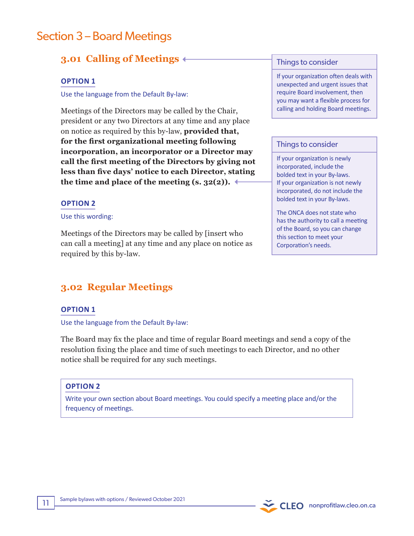# Section 3 – Board Meetings

# **3.01 Calling of Meetings**

### **OPTION 1**

Use the language from the Default By-law:

Meetings of the Directors may be called by the Chair, president or any two Directors at any time and any place on notice as required by this by-law, **provided that, for the first organizational meeting following incorporation, an incorporator or a Director may call the first meeting of the Directors by giving not less than five days' notice to each Director, stating**  the time and place of the meeting  $(s, 32(2))$ .

#### **OPTION 2**

#### Use this wording:

Meetings of the Directors may be called by [insert who can call a meeting] at any time and any place on notice as required by this by-law.

# **3.02 Regular Meetings**

#### **OPTION 1**

Use the language from the Default By-law:

The Board may fix the place and time of regular Board meetings and send a copy of the resolution fixing the place and time of such meetings to each Director, and no other notice shall be required for any such meetings.

## **OPTION 2**

Write your own section about Board meetings. You could specify a meeting place and/or the frequency of meetings.

#### Things to consider

If your organization often deals with unexpected and urgent issues that require Board involvement, then you may want a flexible process for calling and holding Board meetings.

#### Things to consider

If your organization is newly incorporated, include the bolded text in your By-laws. If your organization is not newly incorporated, do not include the bolded text in your By-laws.

The ONCA does not state who has the authority to call a meeting of the Board, so you can change this section to meet your Corporation's needs.

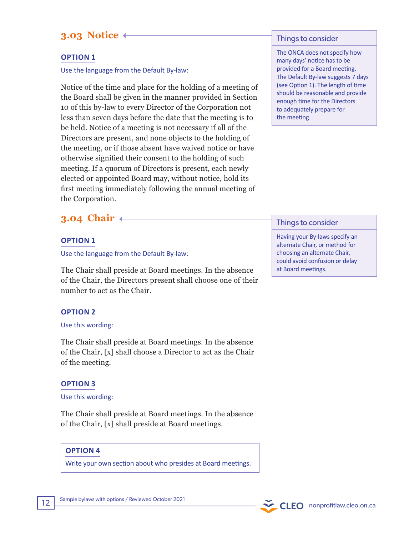# **3.03 Notice**

## **OPTION 1**

Use the language from the Default By-law:

Notice of the time and place for the holding of a meeting of the Board shall be given in the manner provided in Section 10 of this by-law to every Director of the Corporation not less than seven days before the date that the meeting is to be held. Notice of a meeting is not necessary if all of the Directors are present, and none objects to the holding of the meeting, or if those absent have waived notice or have otherwise signified their consent to the holding of such meeting. If a quorum of Directors is present, each newly elected or appointed Board may, without notice, hold its first meeting immediately following the annual meeting of the Corporation.

# **3.04 Chair**

#### **OPTION 1**

Use the language from the Default By-law:

The Chair shall preside at Board meetings. In the absence of the Chair, the Directors present shall choose one of their number to act as the Chair.

## **OPTION 2**

#### Use this wording:

The Chair shall preside at Board meetings. In the absence of the Chair, [x] shall choose a Director to act as the Chair of the meeting.

#### **OPTION 3**

#### Use this wording:

The Chair shall preside at Board meetings. In the absence of the Chair, [x] shall preside at Board meetings.

#### **OPTION 4**

Write your own section about who presides at Board meetings.

#### Things to consider

The ONCA does not specify how many days' notice has to be provided for a Board meeting. The Default By-law suggests 7 days (see Option 1). The length of time should be reasonable and provide enough time for the Directors to adequately prepare for the meeting.

#### Things to consider

Having your By-laws specify an alternate Chair, or method for choosing an alternate Chair, could avoid confusion or delay at Board meetings.

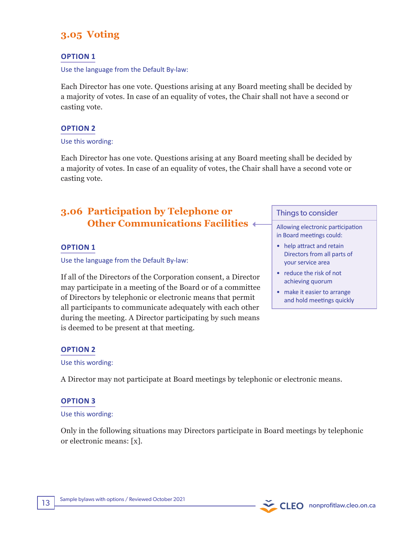# **3.05 Voting**

## **OPTION 1**

Use the language from the Default By-law:

Each Director has one vote. Questions arising at any Board meeting shall be decided by a majority of votes. In case of an equality of votes, the Chair shall not have a second or casting vote.

## **OPTION 2**

#### Use this wording:

Each Director has one vote. Questions arising at any Board meeting shall be decided by a majority of votes. In case of an equality of votes, the Chair shall have a second vote or casting vote.

# **3.06 Participation by Telephone or Other Communications Facilities**

#### **OPTION 1**

Use the language from the Default By-law:

If all of the Directors of the Corporation consent, a Director may participate in a meeting of the Board or of a committee of Directors by telephonic or electronic means that permit all participants to communicate adequately with each other during the meeting. A Director participating by such means is deemed to be present at that meeting.

#### Things to consider

Allowing electronic participation in Board meetings could:

- help attract and retain Directors from all parts of your service area
- reduce the risk of not achieving quorum
- make it easier to arrange and hold meetings quickly

## **OPTION 2**

#### Use this wording:

A Director may not participate at Board meetings by telephonic or electronic means.

#### **OPTION 3**

#### Use this wording:

Only in the following situations may Directors participate in Board meetings by telephonic or electronic means: [x].

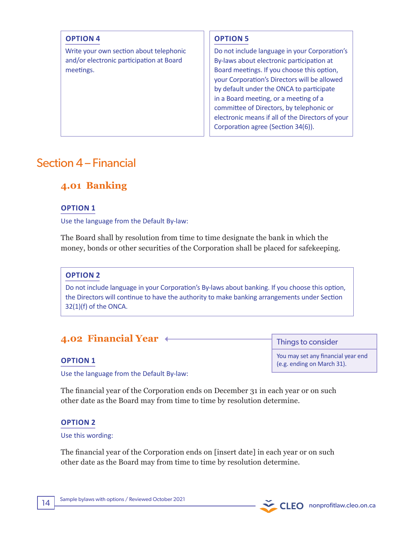## **OPTION 4**

Write your own section about telephonic and/or electronic participation at Board meetings.

## **OPTION 5**

Do not include language in your Corporation's By-laws about electronic participation at Board meetings. If you choose this option, your Corporation's Directors will be allowed by default under the ONCA to participate in a Board meeting, or a meeting of a committee of Directors, by telephonic or electronic means if all of the Directors of your Corporation agree (Section 34(6)).

# Section 4 – Financial

# **4.01 Banking**

## **OPTION 1**

Use the language from the Default By-law:

The Board shall by resolution from time to time designate the bank in which the money, bonds or other securities of the Corporation shall be placed for safekeeping.

## **OPTION 2**

Do not include language in your Corporation's By-laws about banking. If you choose this option, the Directors will continue to have the authority to make banking arrangements under Section 32(1)(f) of the ONCA.

# **4.02 Financial Year**

#### **OPTION 1**

Use the language from the Default By-law:

The financial year of the Corporation ends on December 31 in each year or on such other date as the Board may from time to time by resolution determine.

## **OPTION 2**

#### Use this wording:

The financial year of the Corporation ends on [insert date] in each year or on such other date as the Board may from time to time by resolution determine.

Things to consider

You may set any financial year end (e.g. ending on March 31).

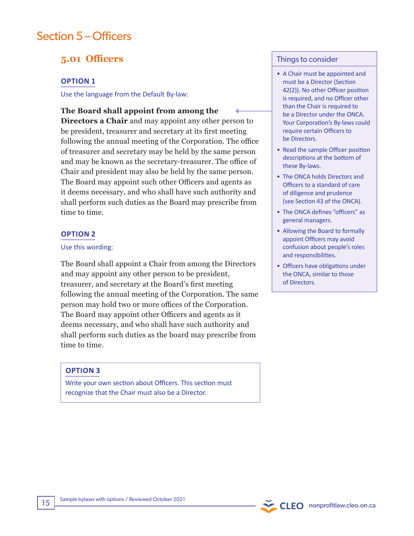# Section 5 – Officers

# **5.01 Officers**

#### **OPTION 1**

Use the language from the Default By-law:

## **The Board shall appoint from among the**

**Directors a Chair** and may appoint any other person to be president, treasurer and secretary at its first meeting following the annual meeting of the Corporation. The office of treasurer and secretary may be held by the same person and may be known as the secretary-treasurer. The office of Chair and president may also be held by the same person. The Board may appoint such other Officers and agents as it deems necessary, and who shall have such authority and shall perform such duties as the Board may prescribe from time to time.

#### **OPTION 2**

#### Use this wording:

The Board shall appoint a Chair from among the Directors and may appoint any other person to be president, treasurer, and secretary at the Board's first meeting following the annual meeting of the Corporation. The same person may hold two or more offices of the Corporation. The Board may appoint other Officers and agents as it deems necessary, and who shall have such authority and shall perform such duties as the board may prescribe from time to time.

## **OPTION 3**

Write your own section about Officers. This section must recognize that the Chair must also be a Director.

#### Things to consider

- A Chair must be appointed and must be a Director (Section 42(2)). No other Officer position is required, and no Officer other than the Chair is required to be a Director under the ONCA. Your Corporation's By-laws could require certain Officers to be Directors.
- Read the sample Officer position descriptions at the bottom of these By-laws.
- The ONCA holds Directors and Officers to a standard of care of diligence and prudence (see Section 43 of the ONCA).
- The ONCA defines "officers" as general managers.
- Allowing the Board to formally appoint Officers may avoid confusion about people's roles and responsibilities.
- Officers have obligations under the ONCA, similar to those of Directors.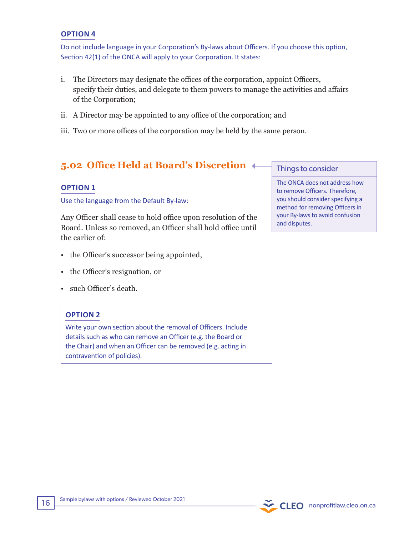#### **OPTION 4**

Do not include language in your Corporation's By-laws about Officers. If you choose this option, Section 42(1) of the ONCA will apply to your Corporation. It states:

- i. The Directors may designate the offices of the corporation, appoint Officers, specify their duties, and delegate to them powers to manage the activities and affairs of the Corporation;
- ii. A Director may be appointed to any office of the corporation; and
- iii. Two or more offices of the corporation may be held by the same person.

# **5.02 Office Held at Board's Discretion**

## **OPTION 1**

Use the language from the Default By-law:

Any Officer shall cease to hold office upon resolution of the Board. Unless so removed, an Officer shall hold office until the earlier of:

- the Officer's successor being appointed,
- the Officer's resignation, or
- such Officer's death.

## **OPTION 2**

Write your own section about the removal of Officers. Include details such as who can remove an Officer (e.g. the Board or the Chair) and when an Officer can be removed (e.g. acting in contravention of policies).

#### Things to consider

The ONCA does not address how to remove Officers. Therefore, you should consider specifying a method for removing Officers in your By-laws to avoid confusion and disputes.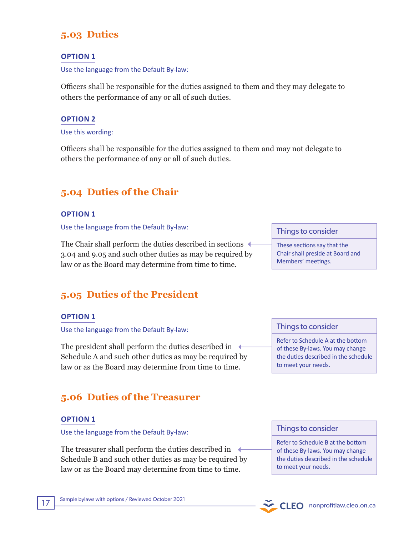# **5.03 Duties**

## **OPTION 1**

Use the language from the Default By-law:

Officers shall be responsible for the duties assigned to them and they may delegate to others the performance of any or all of such duties.

## **OPTION 2**

Use this wording:

Officers shall be responsible for the duties assigned to them and may not delegate to others the performance of any or all of such duties.

# **5.04 Duties of the Chair**

## **OPTION 1**

Use the language from the Default By-law:

The Chair shall perform the duties described in sections  $\leftarrow$ 3.04 and 9.05 and such other duties as may be required by law or as the Board may determine from time to time.

# **5.05 Duties of the President**

## **OPTION 1**

Use the language from the Default By-law:

The president shall perform the duties described in  $\leftarrow$ Schedule A and such other duties as may be required by law or as the Board may determine from time to time.

# **5.06 Duties of the Treasurer**

## **OPTION 1**

Use the language from the Default By-law:

The treasurer shall perform the duties described in  $\triangleleft$ Schedule B and such other duties as may be required by law or as the Board may determine from time to time.

#### Things to consider

These sections say that the Chair shall preside at Board and Members' meetings.

## Things to consider

Refer to Schedule A at the bottom of these By-laws. You may change the duties described in the schedule to meet your needs.

#### Things to consider

Refer to Schedule B at the bottom of these By-laws. You may change the duties described in the schedule to meet your needs.

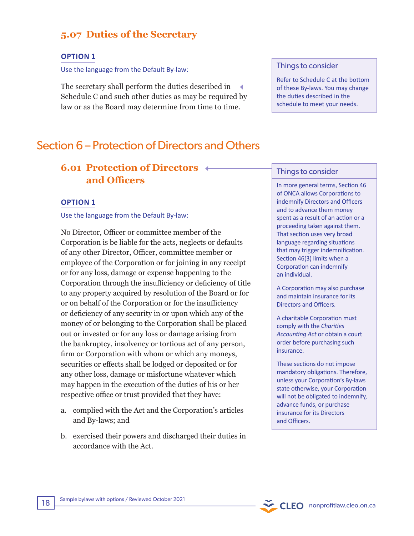# **5.07 Duties of the Secretary**

#### **OPTION 1**

Use the language from the Default By-law:

The secretary shall perform the duties described in Schedule C and such other duties as may be required by law or as the Board may determine from time to time.

# Section 6 – Protection of Directors and Others

# **6.01 Protection of Directors and Officers**

#### **OPTION 1**

Use the language from the Default By-law:

No Director, Officer or committee member of the Corporation is be liable for the acts, neglects or defaults of any other Director, Officer, committee member or employee of the Corporation or for joining in any receipt or for any loss, damage or expense happening to the Corporation through the insufficiency or deficiency of title to any property acquired by resolution of the Board or for or on behalf of the Corporation or for the insufficiency or deficiency of any security in or upon which any of the money of or belonging to the Corporation shall be placed out or invested or for any loss or damage arising from the bankruptcy, insolvency or tortious act of any person, firm or Corporation with whom or which any moneys, securities or effects shall be lodged or deposited or for any other loss, damage or misfortune whatever which may happen in the execution of the duties of his or her respective office or trust provided that they have:

- a. complied with the Act and the Corporation's articles and By-laws; and
- b. exercised their powers and discharged their duties in accordance with the Act.

Things to consider

Refer to Schedule C at the bottom of these By-laws. You may change the duties described in the schedule to meet your needs.

#### Things to consider

In more general terms, Section 46 of ONCA allows Corporations to indemnify Directors and Officers and to advance them money spent as a result of an action or a proceeding taken against them. That section uses very broad language regarding situations that may trigger indemnification. Section 46(3) limits when a Corporation can indemnify an individual.

A Corporation may also purchase and maintain insurance for its Directors and Officers.

A charitable Corporation must comply with the *Charities Accounting Act* or obtain a court order before purchasing such insurance.

These sections do not impose mandatory obligations. Therefore, unless your Corporation's By-laws state otherwise, your Corporation will not be obligated to indemnify, advance funds, or purchase insurance for its Directors and Officers.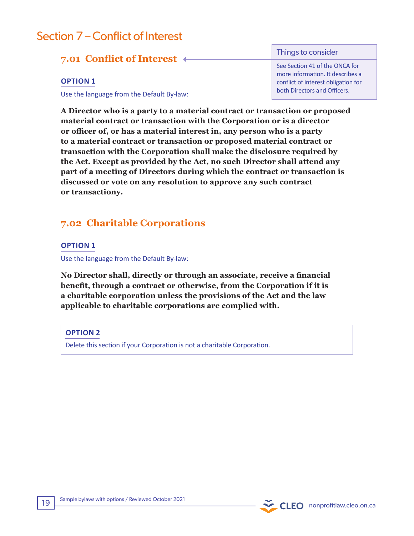# Section 7 – Conflict of Interest

# **7.01 Conflict of Interest**

### **OPTION 1**

Use the language from the Default By-law:

Things to consider

See Section 41 of the ONCA for more information. It describes a conflict of interest obligation for both Directors and Officers.

**A Director who is a party to a material contract or transaction or proposed material contract or transaction with the Corporation or is a director or officer of, or has a material interest in, any person who is a party to a material contract or transaction or proposed material contract or transaction with the Corporation shall make the disclosure required by the Act. Except as provided by the Act, no such Director shall attend any part of a meeting of Directors during which the contract or transaction is discussed or vote on any resolution to approve any such contract or transactiony.**

# **7.02 Charitable Corporations**

## **OPTION 1**

Use the language from the Default By-law:

**No Director shall, directly or through an associate, receive a financial benefit, through a contract or otherwise, from the Corporation if it is a charitable corporation unless the provisions of the Act and the law applicable to charitable corporations are complied with.**

## **OPTION 2**

Delete this section if your Corporation is not a charitable Corporation.

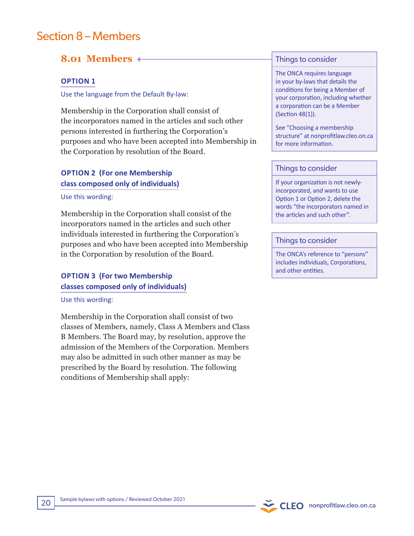# Section 8 – Members

# **8.01 Members**

## **OPTION 1**

Use the language from the Default By-law:

Membership in the Corporation shall consist of the incorporators named in the articles and such other persons interested in furthering the Corporation's purposes and who have been accepted into Membership in the Corporation by resolution of the Board.

## **OPTION 2 (For one Membership class composed only of individuals)**

#### Use this wording:

Membership in the Corporation shall consist of the incorporators named in the articles and such other individuals interested in furthering the Corporation's purposes and who have been accepted into Membership in the Corporation by resolution of the Board.

# **OPTION 3 (For two Membership classes composed only of individuals)**

Use this wording:

Membership in the Corporation shall consist of two classes of Members, namely, Class A Members and Class B Members. The Board may, by resolution, approve the admission of the Members of the Corporation. Members may also be admitted in such other manner as may be prescribed by the Board by resolution. The following conditions of Membership shall apply:

#### Things to consider

The ONCA requires language in your by-laws that details the conditions for being a Member of your corporation, including whether a corporation can be a Member (Section 48(1)).

See "Choosing a membership structure" at nonprofitlaw.cleo.on.ca for more information.

#### Things to consider

If your organization is not newlyincorporated, and wants to use Option 1 or Option 2, delete the words "the incorporators named in the articles and such other".

#### Things to consider

The ONCA's reference to "persons" includes individuals, Corporations, and other entities.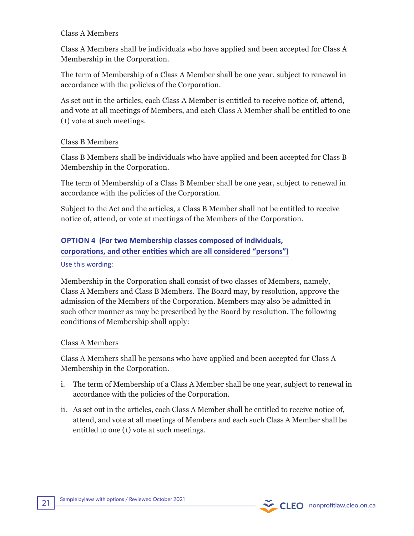## Class A Members

Class A Members shall be individuals who have applied and been accepted for Class A Membership in the Corporation.

The term of Membership of a Class A Member shall be one year, subject to renewal in accordance with the policies of the Corporation.

As set out in the articles, each Class A Member is entitled to receive notice of, attend, and vote at all meetings of Members, and each Class A Member shall be entitled to one (1) vote at such meetings.

## Class B Members

Class B Members shall be individuals who have applied and been accepted for Class B Membership in the Corporation.

The term of Membership of a Class B Member shall be one year, subject to renewal in accordance with the policies of the Corporation.

Subject to the Act and the articles, a Class B Member shall not be entitled to receive notice of, attend, or vote at meetings of the Members of the Corporation.

**OPTION 4 (For two Membership classes composed of individuals, corporations, and other entities which are all considered "persons")**

## Use this wording:

Membership in the Corporation shall consist of two classes of Members, namely, Class A Members and Class B Members. The Board may, by resolution, approve the admission of the Members of the Corporation. Members may also be admitted in such other manner as may be prescribed by the Board by resolution. The following conditions of Membership shall apply:

## Class A Members

Class A Members shall be persons who have applied and been accepted for Class A Membership in the Corporation.

- i. The term of Membership of a Class A Member shall be one year, subject to renewal in accordance with the policies of the Corporation.
- ii. As set out in the articles, each Class A Member shall be entitled to receive notice of, attend, and vote at all meetings of Members and each such Class A Member shall be entitled to one (1) vote at such meetings.

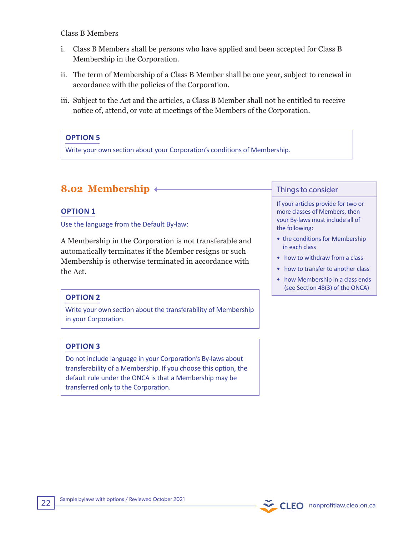## Class B Members

- i. Class B Members shall be persons who have applied and been accepted for Class B Membership in the Corporation.
- ii. The term of Membership of a Class B Member shall be one year, subject to renewal in accordance with the policies of the Corporation.
- iii. Subject to the Act and the articles, a Class B Member shall not be entitled to receive notice of, attend, or vote at meetings of the Members of the Corporation.

# **OPTION 5**

Write your own section about your Corporation's conditions of Membership.

# **8.02 Membership**

## **OPTION 1**

Use the language from the Default By-law:

A Membership in the Corporation is not transferable and automatically terminates if the Member resigns or such Membership is otherwise terminated in accordance with the Act.

# **OPTION 2**

Write your own section about the transferability of Membership in your Corporation.

## **OPTION 3**

Do not include language in your Corporation's By-laws about transferability of a Membership. If you choose this option, the default rule under the ONCA is that a Membership may be transferred only to the Corporation.

### Things to consider

If your articles provide for two or more classes of Members, then your By-laws must include all of the following:

- the conditions for Membership in each class
- how to withdraw from a class
- how to transfer to another class
- how Membership in a class ends (see Section 48(3) of the ONCA)

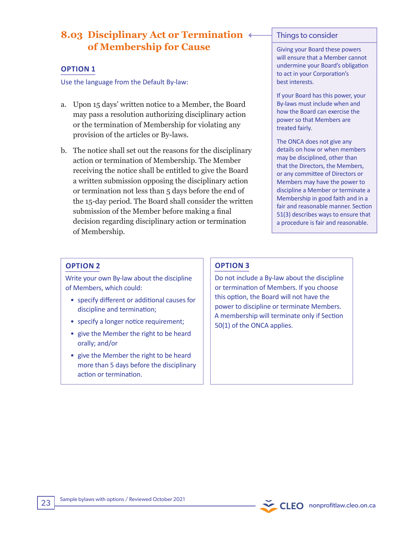# **8.03 Disciplinary Act or Termination of Membership for Cause**

### **OPTION 1**

Use the language from the Default By-law:

- a. Upon 15 days' written notice to a Member, the Board may pass a resolution authorizing disciplinary action or the termination of Membership for violating any provision of the articles or By-laws.
- b. The notice shall set out the reasons for the disciplinary action or termination of Membership. The Member receiving the notice shall be entitled to give the Board a written submission opposing the disciplinary action or termination not less than 5 days before the end of the 15-day period. The Board shall consider the written submission of the Member before making a final decision regarding disciplinary action or termination of Membership.

#### Things to consider

Giving your Board these powers will ensure that a Member cannot undermine your Board's obligation to act in your Corporation's best interests.

If your Board has this power, your By-laws must include when and how the Board can exercise the power so that Members are treated fairly.

The ONCA does not give any details on how or when members may be disciplined, other than that the Directors, the Members, or any committee of Directors or Members may have the power to discipline a Member or terminate a Membership in good faith and in a fair and reasonable manner. Section 51(3) describes ways to ensure that a procedure is fair and reasonable.

## **OPTION 2**

Write your own By-law about the discipline of Members, which could:

- specify different or additional causes for discipline and termination;
- specify a longer notice requirement;
- give the Member the right to be heard orally; and/or
- give the Member the right to be heard more than 5 days before the disciplinary action or termination.

## **OPTION 3**

Do not include a By-law about the discipline or termination of Members. If you choose this option, the Board will not have the power to discipline or terminate Members. A membership will terminate only if Section 50(1) of the ONCA applies.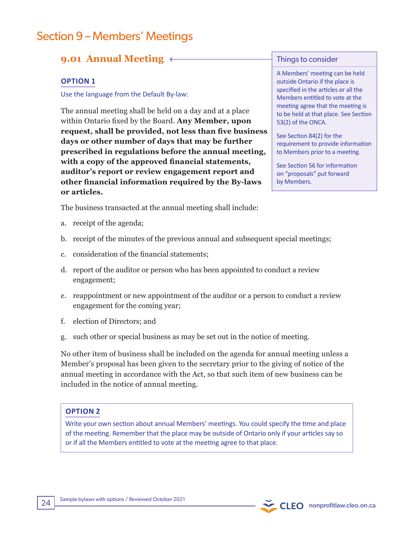# Section 9 – Members' Meetings

# **9.01 Annual Meeting**

## **OPTION 1**

Use the language from the Default By-law:

The annual meeting shall be held on a day and at a place within Ontario fixed by the Board. **Any Member, upon request, shall be provided, not less than five business days or other number of days that may be further prescribed in regulations before the annual meeting, with a copy of the approved financial statements, auditor's report or review engagement report and other financial information required by the By-laws or articles.**

#### Things to consider

A Members' meeting can be held outside Ontario if the place is specified in the articles or all the Members entitled to vote at the meeting agree that the meeting is to be held at that place. See Section 53(2) of the ONCA.

See Section 84(2) for the requirement to provide information to Members prior to a meeting.

See Section 56 for information on "proposals" put forward by Members.

The business transacted at the annual meeting shall include:

- a. receipt of the agenda;
- b. receipt of the minutes of the previous annual and subsequent special meetings;
- c. consideration of the financial statements;
- d. report of the auditor or person who has been appointed to conduct a review engagement;
- e. reappointment or new appointment of the auditor or a person to conduct a review engagement for the coming year;
- f. election of Directors; and
- g. such other or special business as may be set out in the notice of meeting.

No other item of business shall be included on the agenda for annual meeting unless a Member's proposal has been given to the secretary prior to the giving of notice of the annual meeting in accordance with the Act, so that such item of new business can be included in the notice of annual meeting.

## **OPTION 2**

Write your own section about annual Members' meetings. You could specify the time and place of the meeting. Remember that the place may be outside of Ontario only if your articles say so or if all the Members entitled to vote at the meeting agree to that place.

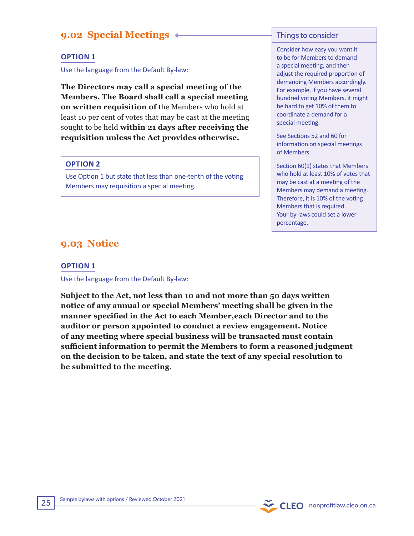# **9.02 Special Meetings**

### **OPTION 1**

Use the language from the Default By-law:

**The Directors may call a special meeting of the Members. The Board shall call a special meeting on written requisition of** the Members who hold at least 10 per cent of votes that may be cast at the meeting sought to be held **within 21 days after receiving the requisition unless the Act provides otherwise.**

#### **OPTION 2**

Use Option 1 but state that less than one-tenth of the voting Members may requisition a special meeting.

### Things to consider

Consider how easy you want it to be for Members to demand a special meeting, and then adjust the required proportion of demanding Members accordingly. For example, if you have several hundred voting Members, it might be hard to get 10% of them to coordinate a demand for a special meeting.

See Sections 52 and 60 for information on special meetings of Members.

Section 60(1) states that Members who hold at least 10% of votes that may be cast at a meeting of the Members may demand a meeting. Therefore, it is 10% of the voting Members that is required. Your by-laws could set a lower percentage.

# **9.03 Notice**

### **OPTION 1**

Use the language from the Default By-law:

**Subject to the Act, not less than 10 and not more than 50 days written notice of any annual or special Members' meeting shall be given in the manner specified in the Act to each Member,each Director and to the auditor or person appointed to conduct a review engagement. Notice of any meeting where special business will be transacted must contain sufficient information to permit the Members to form a reasoned judgment on the decision to be taken, and state the text of any special resolution to be submitted to the meeting.**

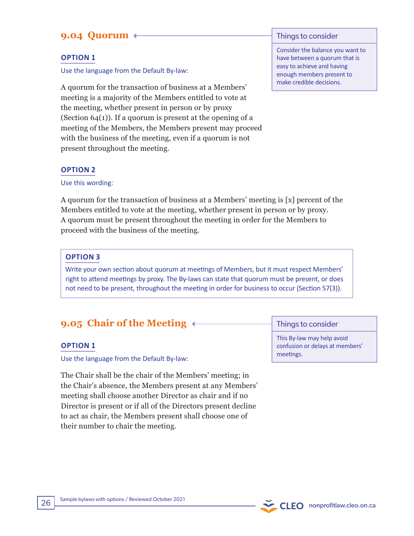# **9.04 Quorum**

# **OPTION 1**

Use the language from the Default By-law:

A quorum for the transaction of business at a Members' meeting is a majority of the Members entitled to vote at the meeting, whether present in person or by proxy (Section  $64(1)$ ). If a quorum is present at the opening of a meeting of the Members, the Members present may proceed with the business of the meeting, even if a quorum is not present throughout the meeting.

## **OPTION 2**

Use this wording:

A quorum for the transaction of business at a Members' meeting is [x] percent of the Members entitled to vote at the meeting, whether present in person or by proxy. A quorum must be present throughout the meeting in order for the Members to proceed with the business of the meeting.

## **OPTION 3**

Write your own section about quorum at meetings of Members, but it must respect Members' right to attend meetings by proxy. The By-laws can state that quorum must be present, or does not need to be present, throughout the meeting in order for business to occur (Section 57(3)).

# **9.05 Chair of the Meeting**

## **OPTION 1**

Use the language from the Default By-law:

The Chair shall be the chair of the Members' meeting; in the Chair's absence, the Members present at any Members' meeting shall choose another Director as chair and if no Director is present or if all of the Directors present decline to act as chair, the Members present shall choose one of their number to chair the meeting.

### Things to consider

Consider the balance you want to have between a quorum that is easy to achieve and having enough members present to make credible decisions.

Things to consider

This By-law may help avoid confusion or delays at members' meetings.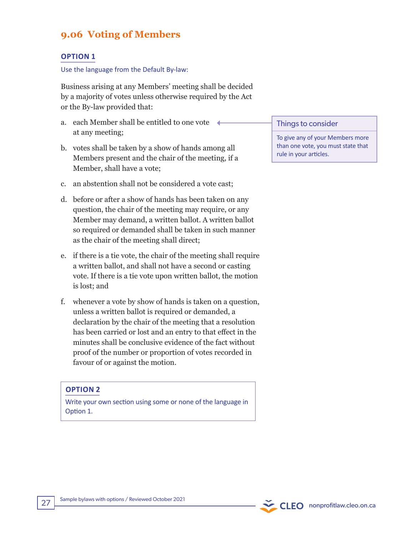# **9.06 Voting of Members**

#### **OPTION 1**

#### Use the language from the Default By-law:

Business arising at any Members' meeting shall be decided by a majority of votes unless otherwise required by the Act or the By-law provided that:

- a. each Member shall be entitled to one vote at any meeting;
- b. votes shall be taken by a show of hands among all Members present and the chair of the meeting, if a Member, shall have a vote;
- c. an abstention shall not be considered a vote cast;
- d. before or after a show of hands has been taken on any question, the chair of the meeting may require, or any Member may demand, a written ballot. A written ballot so required or demanded shall be taken in such manner as the chair of the meeting shall direct;
- e. if there is a tie vote, the chair of the meeting shall require a written ballot, and shall not have a second or casting vote. If there is a tie vote upon written ballot, the motion is lost; and
- f. whenever a vote by show of hands is taken on a question, unless a written ballot is required or demanded, a declaration by the chair of the meeting that a resolution has been carried or lost and an entry to that effect in the minutes shall be conclusive evidence of the fact without proof of the number or proportion of votes recorded in favour of or against the motion.

#### **OPTION 2**

Write your own section using some or none of the language in Option 1.

#### Things to consider

To give any of your Members more than one vote, you must state that rule in your articles.

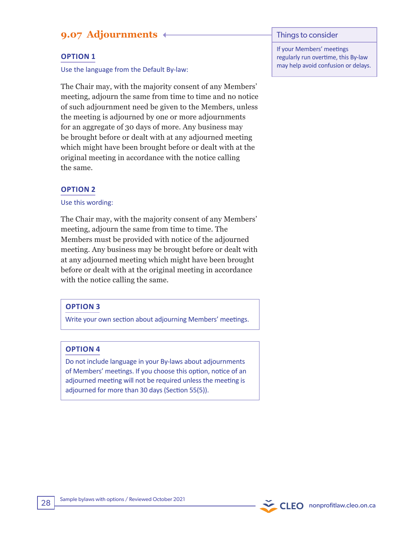# **9.07 Adjournments**

### **OPTION 1**

#### Use the language from the Default By-law:

The Chair may, with the majority consent of any Members' meeting, adjourn the same from time to time and no notice of such adjournment need be given to the Members, unless the meeting is adjourned by one or more adjournments for an aggregate of 30 days of more. Any business may be brought before or dealt with at any adjourned meeting which might have been brought before or dealt with at the original meeting in accordance with the notice calling the same.

#### **OPTION 2**

#### Use this wording:

The Chair may, with the majority consent of any Members' meeting, adjourn the same from time to time. The Members must be provided with notice of the adjourned meeting. Any business may be brought before or dealt with at any adjourned meeting which might have been brought before or dealt with at the original meeting in accordance with the notice calling the same.

#### **OPTION 3**

Write your own section about adjourning Members' meetings.

#### **OPTION 4**

Do not include language in your By-laws about adjournments of Members' meetings. If you choose this option, notice of an adjourned meeting will not be required unless the meeting is adjourned for more than 30 days (Section 55(5)).

#### Things to consider

If your Members' meetings regularly run overtime, this By-law may help avoid confusion or delays.

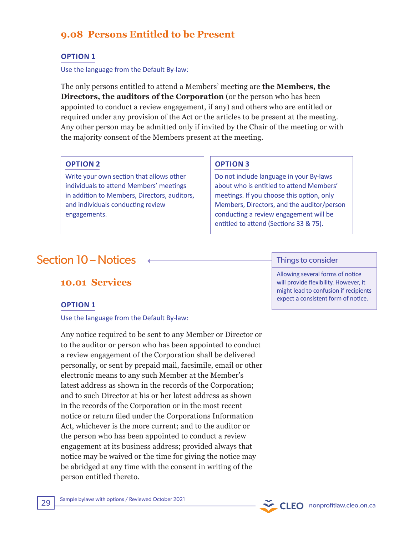# **9.08 Persons Entitled to be Present**

## **OPTION 1**

#### Use the language from the Default By-law:

The only persons entitled to attend a Members' meeting are **the Members, the Directors, the auditors of the Corporation** (or the person who has been appointed to conduct a review engagement, if any) and others who are entitled or required under any provision of the Act or the articles to be present at the meeting. Any other person may be admitted only if invited by the Chair of the meeting or with the majority consent of the Members present at the meeting.

#### **OPTION 2**

Write your own section that allows other individuals to attend Members' meetings in addition to Members, Directors, auditors, and individuals conducting review engagements.

## **OPTION 3**

Do not include language in your By-laws about who is entitled to attend Members' meetings. If you choose this option, only Members, Directors, and the auditor/person conducting a review engagement will be entitled to attend (Sections 33 & 75).

# $Section 10 - Notices$   $\leftarrow$

# **10.01 Services**

## **OPTION 1**

#### Use the language from the Default By-law:

Any notice required to be sent to any Member or Director or to the auditor or person who has been appointed to conduct a review engagement of the Corporation shall be delivered personally, or sent by prepaid mail, facsimile, email or other electronic means to any such Member at the Member's latest address as shown in the records of the Corporation; and to such Director at his or her latest address as shown in the records of the Corporation or in the most recent notice or return filed under the Corporations Information Act, whichever is the more current; and to the auditor or the person who has been appointed to conduct a review engagement at its business address; provided always that notice may be waived or the time for giving the notice may be abridged at any time with the consent in writing of the person entitled thereto.

Allowing several forms of notice will provide flexibility. However, it might lead to confusion if recipients expect a consistent form of notice.

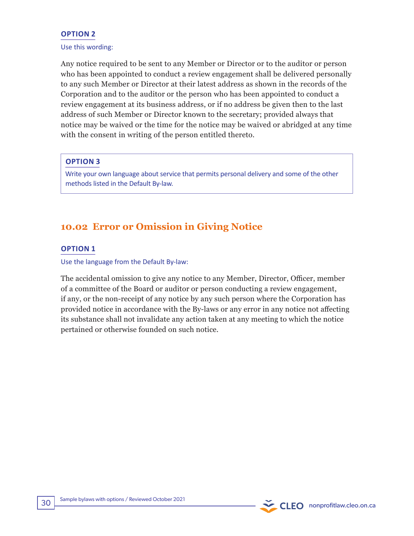## **OPTION 2**

#### Use this wording:

Any notice required to be sent to any Member or Director or to the auditor or person who has been appointed to conduct a review engagement shall be delivered personally to any such Member or Director at their latest address as shown in the records of the Corporation and to the auditor or the person who has been appointed to conduct a review engagement at its business address, or if no address be given then to the last address of such Member or Director known to the secretary; provided always that notice may be waived or the time for the notice may be waived or abridged at any time with the consent in writing of the person entitled thereto.

## **OPTION 3**

Write your own language about service that permits personal delivery and some of the other methods listed in the Default By-law.

# **10.02 Error or Omission in Giving Notice**

#### **OPTION 1**

Use the language from the Default By-law:

The accidental omission to give any notice to any Member, Director, Officer, member of a committee of the Board or auditor or person conducting a review engagement, if any, or the non-receipt of any notice by any such person where the Corporation has provided notice in accordance with the By-laws or any error in any notice not affecting its substance shall not invalidate any action taken at any meeting to which the notice pertained or otherwise founded on such notice.

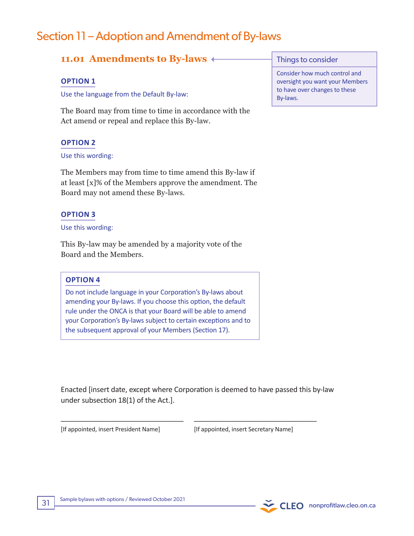# Section 11 – Adoption and Amendment of By-laws

# **11.01 Amendments to By-laws**

#### **OPTION 1**

Use the language from the Default By-law:

The Board may from time to time in accordance with the Act amend or repeal and replace this By-law.

#### **OPTION 2**

#### Use this wording:

The Members may from time to time amend this By-law if at least [x]% of the Members approve the amendment. The Board may not amend these By-laws.

#### **OPTION 3**

#### Use this wording:

This By-law may be amended by a majority vote of the Board and the Members.

#### **OPTION 4**

Do not include language in your Corporation's By-laws about amending your By-laws. If you choose this option, the default rule under the ONCA is that your Board will be able to amend your Corporation's By-laws subject to certain exceptions and to the subsequent approval of your Members (Section 17).

Enacted [insert date, except where Corporation is deemed to have passed this by-law under subsection 18(1) of the Act.].

\_\_\_\_\_\_\_\_\_\_\_\_\_\_\_\_\_\_\_\_\_\_\_\_\_\_\_\_\_\_\_ \_\_\_\_\_\_\_\_\_\_\_\_\_\_\_\_\_\_\_\_\_\_\_\_\_\_\_\_\_\_\_

[If appointed, insert President Name] [If appointed, insert Secretary Name]

Things to consider

Consider how much control and oversight you want your Members to have over changes to these By-laws.

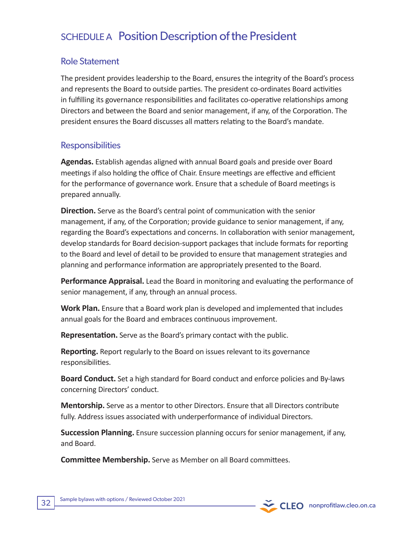# SCHEDULE A Position Description of the President

# Role Statement

The president provides leadership to the Board, ensures the integrity of the Board's process and represents the Board to outside parties. The president co-ordinates Board activities in fulfilling its governance responsibilities and facilitates co-operative relationships among Directors and between the Board and senior management, if any, of the Corporation. The president ensures the Board discusses all matters relating to the Board's mandate.

# **Responsibilities**

**Agendas.** Establish agendas aligned with annual Board goals and preside over Board meetings if also holding the office of Chair. Ensure meetings are effective and efficient for the performance of governance work. Ensure that a schedule of Board meetings is prepared annually.

**Direction.** Serve as the Board's central point of communication with the senior management, if any, of the Corporation; provide guidance to senior management, if any, regarding the Board's expectations and concerns. In collaboration with senior management, develop standards for Board decision-support packages that include formats for reporting to the Board and level of detail to be provided to ensure that management strategies and planning and performance information are appropriately presented to the Board.

**Performance Appraisal.** Lead the Board in monitoring and evaluating the performance of senior management, if any, through an annual process.

**Work Plan.** Ensure that a Board work plan is developed and implemented that includes annual goals for the Board and embraces continuous improvement.

**Representation.** Serve as the Board's primary contact with the public.

**Reporting.** Report regularly to the Board on issues relevant to its governance responsibilities.

**Board Conduct.** Set a high standard for Board conduct and enforce policies and By-laws concerning Directors' conduct.

**Mentorship.** Serve as a mentor to other Directors. Ensure that all Directors contribute fully. Address issues associated with underperformance of individual Directors.

**Succession Planning.** Ensure succession planning occurs for senior management, if any, and Board.

**Committee Membership.** Serve as Member on all Board committees.

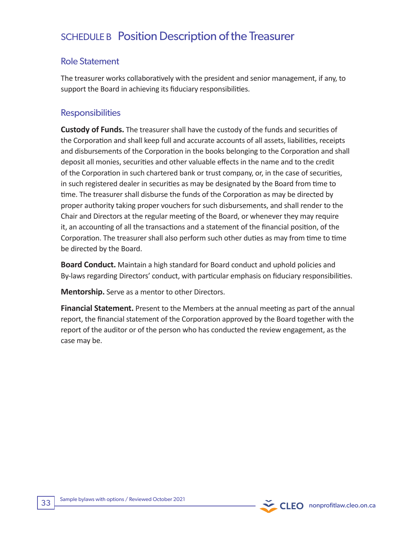# SCHEDULE B Position Description of the Treasurer

# Role Statement

The treasurer works collaboratively with the president and senior management, if any, to support the Board in achieving its fiduciary responsibilities.

# **Responsibilities**

**Custody of Funds.** The treasurer shall have the custody of the funds and securities of the Corporation and shall keep full and accurate accounts of all assets, liabilities, receipts and disbursements of the Corporation in the books belonging to the Corporation and shall deposit all monies, securities and other valuable effects in the name and to the credit of the Corporation in such chartered bank or trust company, or, in the case of securities, in such registered dealer in securities as may be designated by the Board from time to time. The treasurer shall disburse the funds of the Corporation as may be directed by proper authority taking proper vouchers for such disbursements, and shall render to the Chair and Directors at the regular meeting of the Board, or whenever they may require it, an accounting of all the transactions and a statement of the financial position, of the Corporation. The treasurer shall also perform such other duties as may from time to time be directed by the Board.

**Board Conduct.** Maintain a high standard for Board conduct and uphold policies and By-laws regarding Directors' conduct, with particular emphasis on fiduciary responsibilities.

**Mentorship.** Serve as a mentor to other Directors.

**Financial Statement.** Present to the Members at the annual meeting as part of the annual report, the financial statement of the Corporation approved by the Board together with the report of the auditor or of the person who has conducted the review engagement, as the case may be.